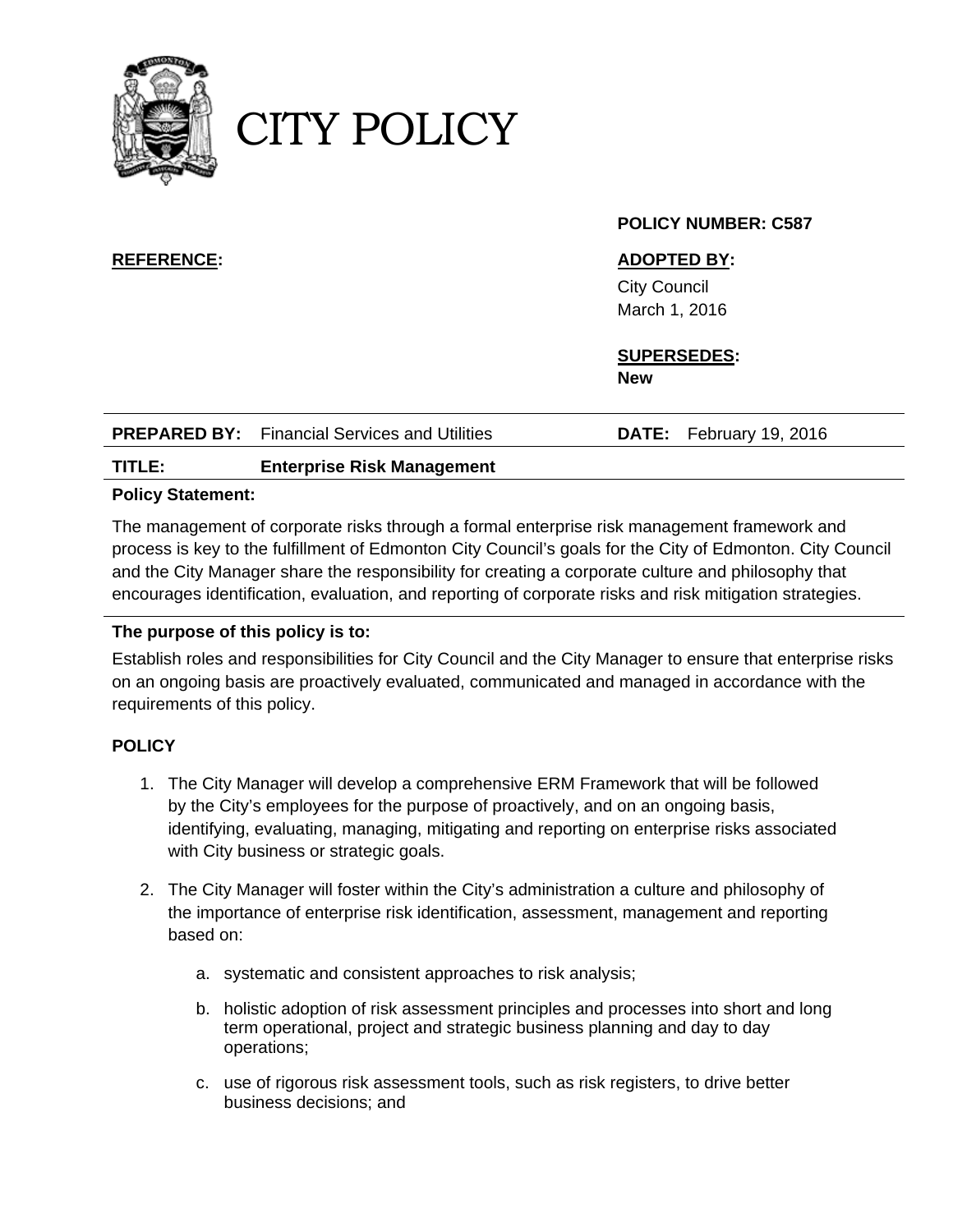

# **POLICY NUMBER: C587**

# **REFERENCE: ADOPTED BY:**

 City Council March 1, 2016

#### **SUPERSEDES: New**

| <b>PREPARED BY:</b> Financial Services and Utilities | <b>DATE:</b> February 19, 2016 |
|------------------------------------------------------|--------------------------------|
|                                                      |                                |

## **TITLE: Enterprise Risk Management**

### **Policy Statement:**

The management of corporate risks through a formal enterprise risk management framework and process is key to the fulfillment of Edmonton City Council's goals for the City of Edmonton. City Council and the City Manager share the responsibility for creating a corporate culture and philosophy that encourages identification, evaluation, and reporting of corporate risks and risk mitigation strategies.

### **The purpose of this policy is to:**

Establish roles and responsibilities for City Council and the City Manager to ensure that enterprise risks on an ongoing basis are proactively evaluated, communicated and managed in accordance with the requirements of this policy.

### **POLICY**

- 1. The City Manager will develop a comprehensive ERM Framework that will be followed by the City's employees for the purpose of proactively, and on an ongoing basis, identifying, evaluating, managing, mitigating and reporting on enterprise risks associated with City business or strategic goals.
- 2. The City Manager will foster within the City's administration a culture and philosophy of the importance of enterprise risk identification, assessment, management and reporting based on:
	- a. systematic and consistent approaches to risk analysis;
	- b. holistic adoption of risk assessment principles and processes into short and long term operational, project and strategic business planning and day to day operations;
	- c. use of rigorous risk assessment tools, such as risk registers, to drive better business decisions; and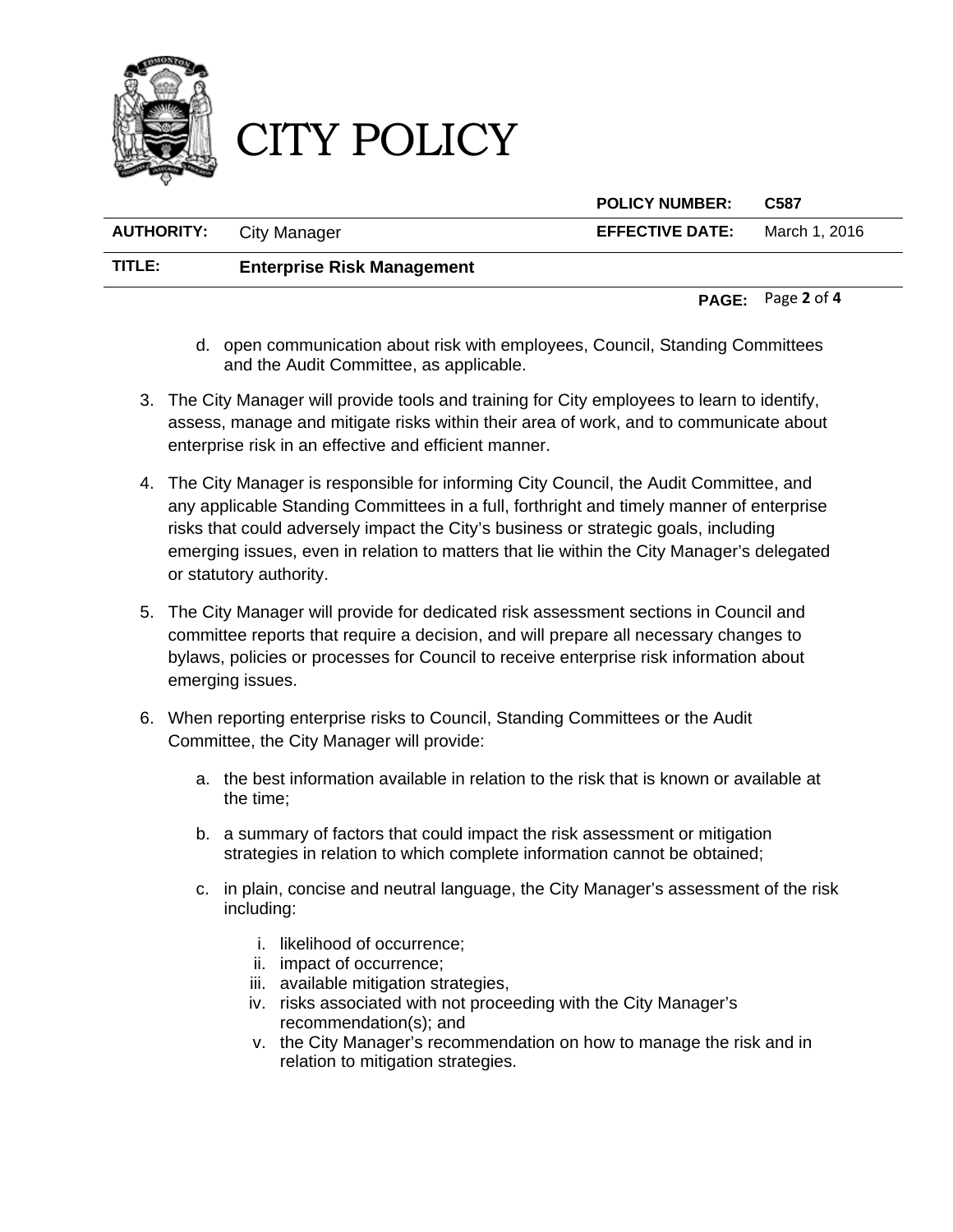

|                   |                                   | <b>POLICY NUMBER:</b>  | C <sub>587</sub> |
|-------------------|-----------------------------------|------------------------|------------------|
| <b>AUTHORITY:</b> | City Manager                      | <b>EFFECTIVE DATE:</b> | March 1, 2016    |
| TITLE:            | <b>Enterprise Risk Management</b> |                        |                  |

**PAGE:** Page **2** of **4**

- d. open communication about risk with employees, Council, Standing Committees and the Audit Committee, as applicable.
- 3. The City Manager will provide tools and training for City employees to learn to identify, assess, manage and mitigate risks within their area of work, and to communicate about enterprise risk in an effective and efficient manner.
- 4. The City Manager is responsible for informing City Council, the Audit Committee, and any applicable Standing Committees in a full, forthright and timely manner of enterprise risks that could adversely impact the City's business or strategic goals, including emerging issues, even in relation to matters that lie within the City Manager's delegated or statutory authority.
- 5. The City Manager will provide for dedicated risk assessment sections in Council and committee reports that require a decision, and will prepare all necessary changes to bylaws, policies or processes for Council to receive enterprise risk information about emerging issues.
- 6. When reporting enterprise risks to Council, Standing Committees or the Audit Committee, the City Manager will provide:
	- a. the best information available in relation to the risk that is known or available at the time;
	- b. a summary of factors that could impact the risk assessment or mitigation strategies in relation to which complete information cannot be obtained;
	- c. in plain, concise and neutral language, the City Manager's assessment of the risk including:
		- i. likelihood of occurrence;
		- ii. impact of occurrence;
		- iii. available mitigation strategies,
		- iv. risks associated with not proceeding with the City Manager's recommendation(s); and
		- v. the City Manager's recommendation on how to manage the risk and in relation to mitigation strategies.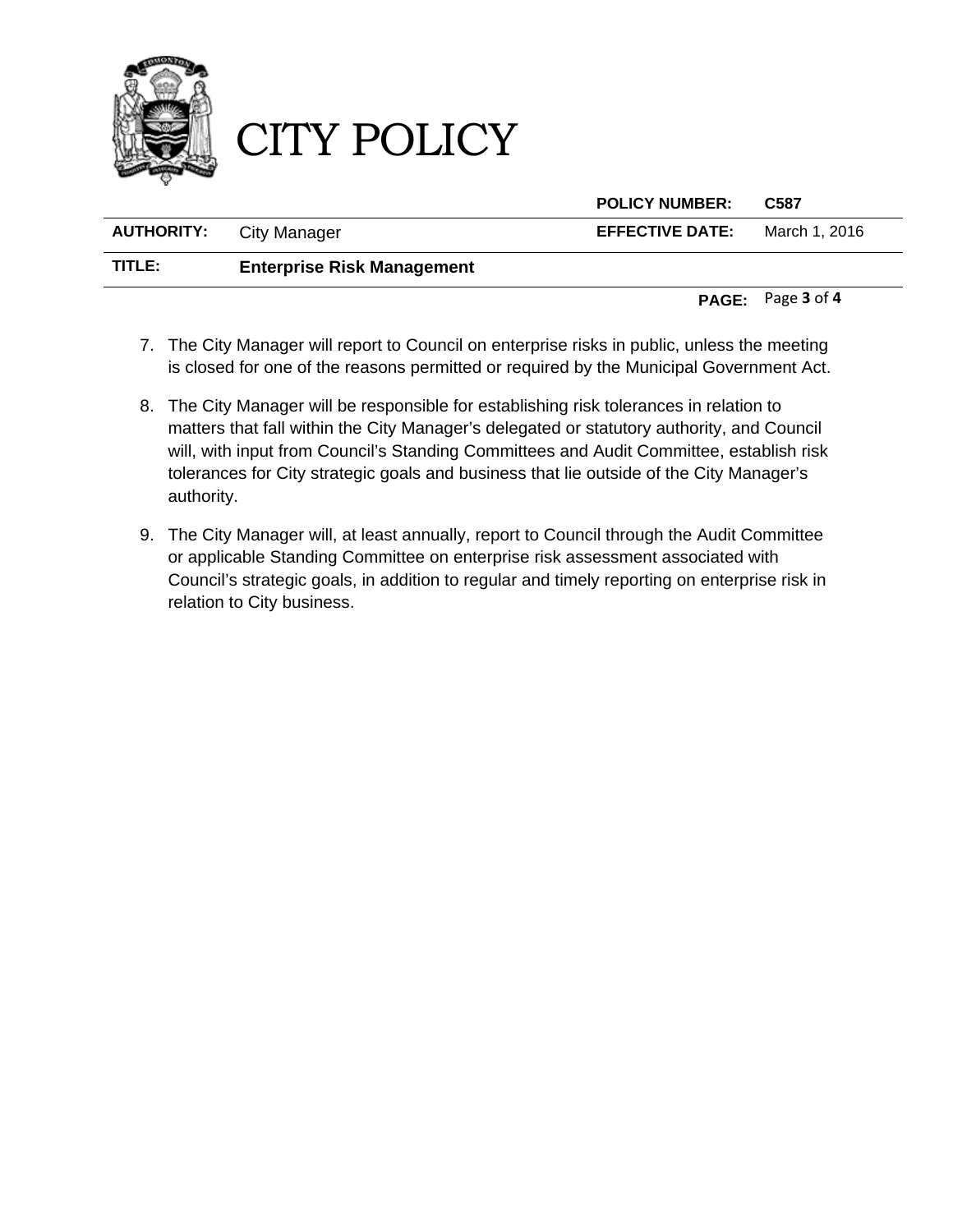

|                                |                                   | <b>POLICY NUMBER:</b>  | C587          |
|--------------------------------|-----------------------------------|------------------------|---------------|
| <b>AUTHORITY:</b> City Manager |                                   | <b>EFFECTIVE DATE:</b> | March 1, 2016 |
| TITLE:                         | <b>Enterprise Risk Management</b> |                        |               |

**PAGE:** Page **3** of **4**

- 7. The City Manager will report to Council on enterprise risks in public, unless the meeting is closed for one of the reasons permitted or required by the Municipal Government Act.
- 8. The City Manager will be responsible for establishing risk tolerances in relation to matters that fall within the City Manager's delegated or statutory authority, and Council will, with input from Council's Standing Committees and Audit Committee, establish risk tolerances for City strategic goals and business that lie outside of the City Manager's authority.
- 9. The City Manager will, at least annually, report to Council through the Audit Committee or applicable Standing Committee on enterprise risk assessment associated with Council's strategic goals, in addition to regular and timely reporting on enterprise risk in relation to City business.